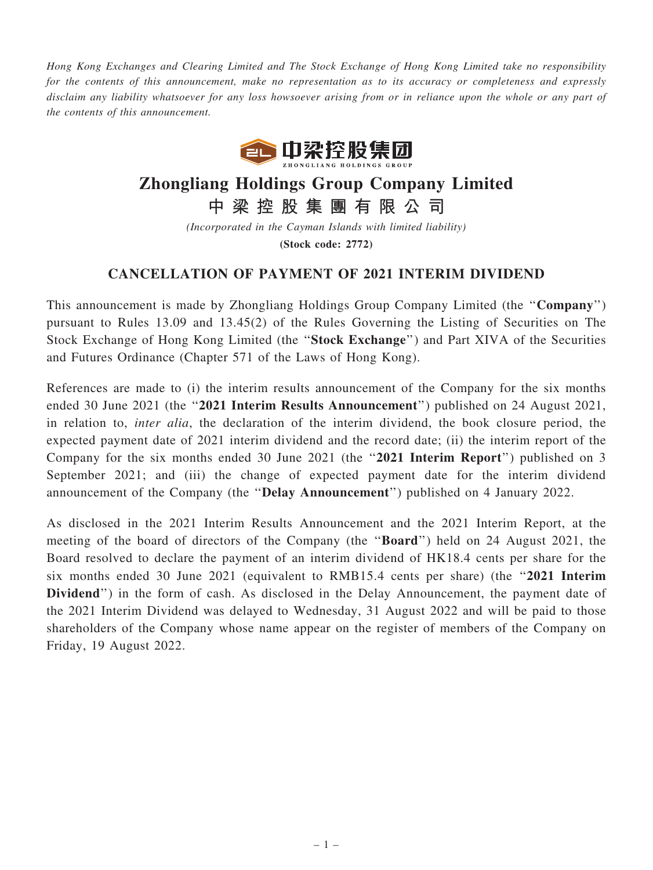Hong Kong Exchanges and Clearing Limited and The Stock Exchange of Hong Kong Limited take no responsibility for the contents of this announcement, make no representation as to its accuracy or completeness and expressly disclaim any liability whatsoever for any loss howsoever arising from or in reliance upon the whole or any part of the contents of this announcement.



## Zhongliang Holdings Group Company Limited

中 梁 控 股 集 團 有 限 公 司

(Incorporated in the Cayman Islands with limited liability) (Stock code: 2772)

## CANCELLATION OF PAYMENT OF 2021 INTERIM DIVIDEND

This announcement is made by Zhongliang Holdings Group Company Limited (the "Company") pursuant to Rules 13.09 and 13.45(2) of the Rules Governing the Listing of Securities on The Stock Exchange of Hong Kong Limited (the ''Stock Exchange'') and Part XIVA of the Securities and Futures Ordinance (Chapter 571 of the Laws of Hong Kong).

References are made to (i) the interim results announcement of the Company for the six months ended 30 June 2021 (the "2021 Interim Results Announcement") published on 24 August 2021, in relation to, inter alia, the declaration of the interim dividend, the book closure period, the expected payment date of 2021 interim dividend and the record date; (ii) the interim report of the Company for the six months ended 30 June 2021 (the ''2021 Interim Report'') published on 3 September 2021; and (iii) the change of expected payment date for the interim dividend announcement of the Company (the ''Delay Announcement'') published on 4 January 2022.

As disclosed in the 2021 Interim Results Announcement and the 2021 Interim Report, at the meeting of the board of directors of the Company (the "**Board**") held on 24 August 2021, the Board resolved to declare the payment of an interim dividend of HK18.4 cents per share for the six months ended 30 June 2021 (equivalent to RMB15.4 cents per share) (the "2021 Interim Dividend") in the form of cash. As disclosed in the Delay Announcement, the payment date of the 2021 Interim Dividend was delayed to Wednesday, 31 August 2022 and will be paid to those shareholders of the Company whose name appear on the register of members of the Company on Friday, 19 August 2022.